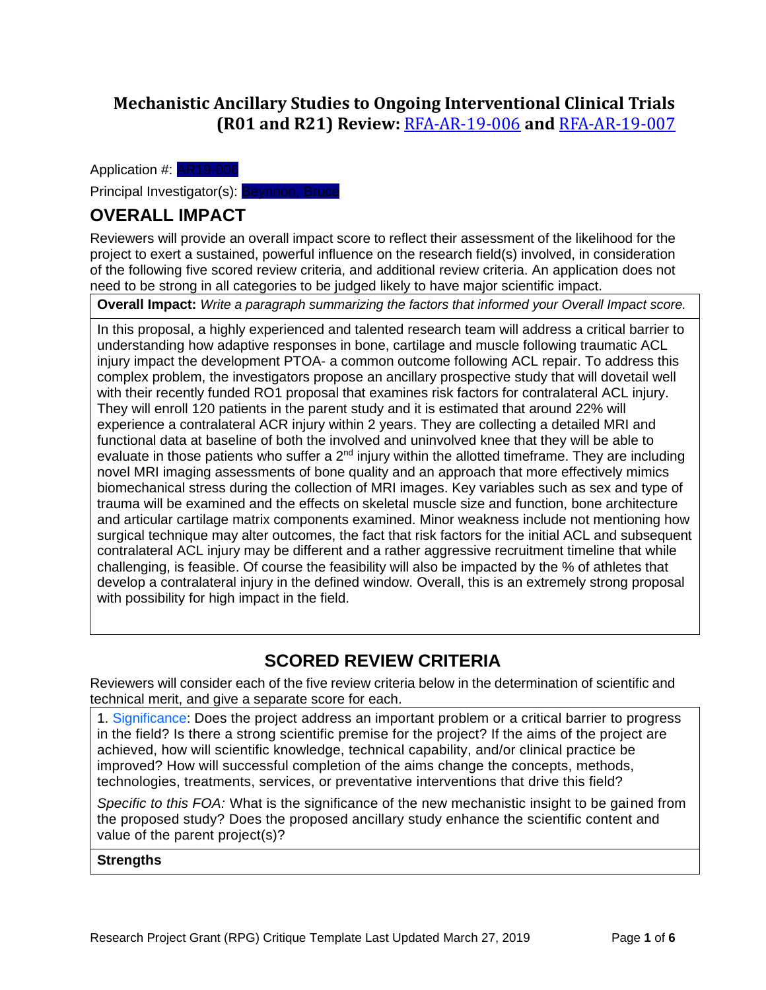## **Mechanistic Ancillary Studies to Ongoing Interventional Clinical Trials (R01 and R21) Review:** [RFA-AR-19-006](https://grants.nih.gov/grants/guide/rfa-files/RFA-AR-19-006.html) **and** [RFA-AR-19-007](https://grants.nih.gov/grants/guide/rfa-files/RFA-AR-19-007.html)

Application #: AR19-006

Principal Investigator(s): Beynnon, Bruce

# **OVERALL IMPACT**

Reviewers will provide an overall impact score to reflect their assessment of the likelihood for the project to exert a sustained, powerful influence on the research field(s) involved, in consideration of the following five scored review criteria, and additional review criteria. An application does not need to be strong in all categories to be judged likely to have major scientific impact.

**Overall Impact:** *Write a paragraph summarizing the factors that informed your Overall Impact score.*

In this proposal, a highly experienced and talented research team will address a critical barrier to understanding how adaptive responses in bone, cartilage and muscle following traumatic ACL injury impact the development PTOA- a common outcome following ACL repair. To address this complex problem, the investigators propose an ancillary prospective study that will dovetail well with their recently funded RO1 proposal that examines risk factors for contralateral ACL injury. They will enroll 120 patients in the parent study and it is estimated that around 22% will experience a contralateral ACR injury within 2 years. They are collecting a detailed MRI and functional data at baseline of both the involved and uninvolved knee that they will be able to evaluate in those patients who suffer a  $2^{nd}$  injury within the allotted timeframe. They are including novel MRI imaging assessments of bone quality and an approach that more effectively mimics biomechanical stress during the collection of MRI images. Key variables such as sex and type of trauma will be examined and the effects on skeletal muscle size and function, bone architecture and articular cartilage matrix components examined. Minor weakness include not mentioning how surgical technique may alter outcomes, the fact that risk factors for the initial ACL and subsequent contralateral ACL injury may be different and a rather aggressive recruitment timeline that while challenging, is feasible. Of course the feasibility will also be impacted by the % of athletes that develop a contralateral injury in the defined window. Overall, this is an extremely strong proposal with possibility for high impact in the field.

## **SCORED REVIEW CRITERIA**

Reviewers will consider each of the five review criteria below in the determination of scientific and technical merit, and give a separate score for each.

1. Significance: Does the project address an important problem or a critical barrier to progress in the field? Is there a strong scientific premise for the project? If the aims of the project are achieved, how will scientific knowledge, technical capability, and/or clinical practice be improved? How will successful completion of the aims change the concepts, methods, technologies, treatments, services, or preventative interventions that drive this field?

*Specific to this FOA:* What is the significance of the new mechanistic insight to be gained from the proposed study? Does the proposed ancillary study enhance the scientific content and value of the parent project(s)?

## **Strengths**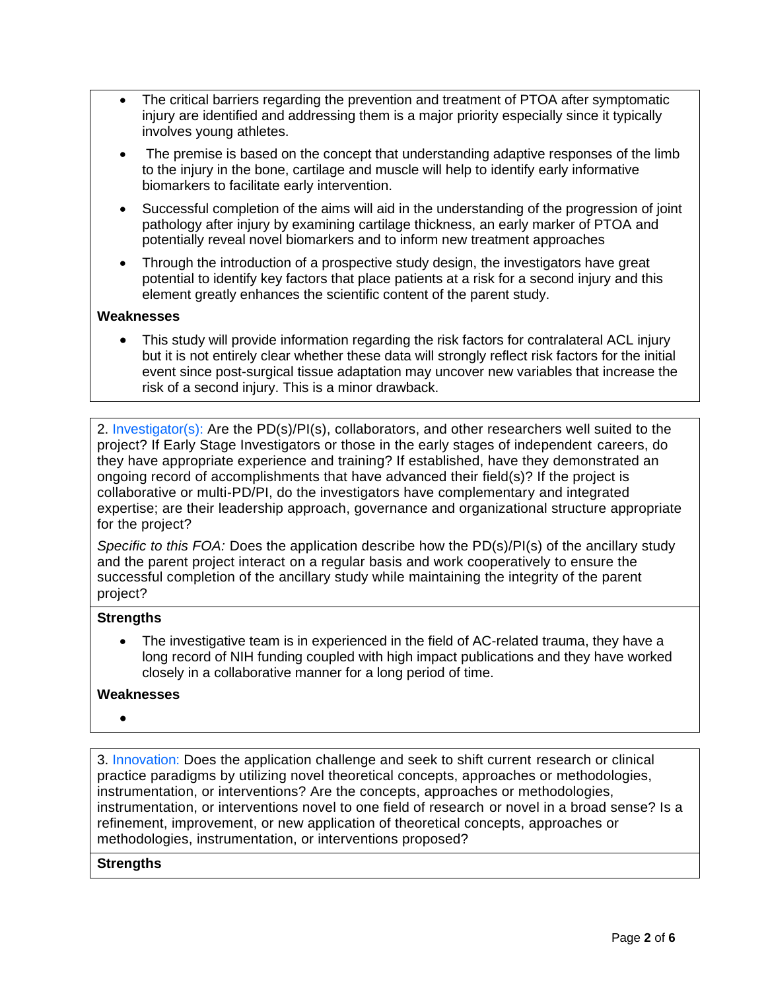- The critical barriers regarding the prevention and treatment of PTOA after symptomatic injury are identified and addressing them is a major priority especially since it typically involves young athletes.
- The premise is based on the concept that understanding adaptive responses of the limb to the injury in the bone, cartilage and muscle will help to identify early informative biomarkers to facilitate early intervention.
- Successful completion of the aims will aid in the understanding of the progression of joint pathology after injury by examining cartilage thickness, an early marker of PTOA and potentially reveal novel biomarkers and to inform new treatment approaches
- Through the introduction of a prospective study design, the investigators have great potential to identify key factors that place patients at a risk for a second injury and this element greatly enhances the scientific content of the parent study.

## **Weaknesses**

• This study will provide information regarding the risk factors for contralateral ACL injury but it is not entirely clear whether these data will strongly reflect risk factors for the initial event since post-surgical tissue adaptation may uncover new variables that increase the risk of a second injury. This is a minor drawback.

2. Investigator(s): Are the PD(s)/PI(s), collaborators, and other researchers well suited to the project? If Early Stage Investigators or those in the early stages of independent careers, do they have appropriate experience and training? If established, have they demonstrated an ongoing record of accomplishments that have advanced their field(s)? If the project is collaborative or multi-PD/PI, do the investigators have complementary and integrated expertise; are their leadership approach, governance and organizational structure appropriate for the project?

*Specific to this FOA:* Does the application describe how the PD(s)/PI(s) of the ancillary study and the parent project interact on a regular basis and work cooperatively to ensure the successful completion of the ancillary study while maintaining the integrity of the parent project?

#### **Strengths**

• The investigative team is in experienced in the field of AC-related trauma, they have a long record of NIH funding coupled with high impact publications and they have worked closely in a collaborative manner for a long period of time.

## **Weaknesses**

•

3. Innovation: Does the application challenge and seek to shift current research or clinical practice paradigms by utilizing novel theoretical concepts, approaches or methodologies, instrumentation, or interventions? Are the concepts, approaches or methodologies, instrumentation, or interventions novel to one field of research or novel in a broad sense? Is a refinement, improvement, or new application of theoretical concepts, approaches or methodologies, instrumentation, or interventions proposed?

## **Strengths**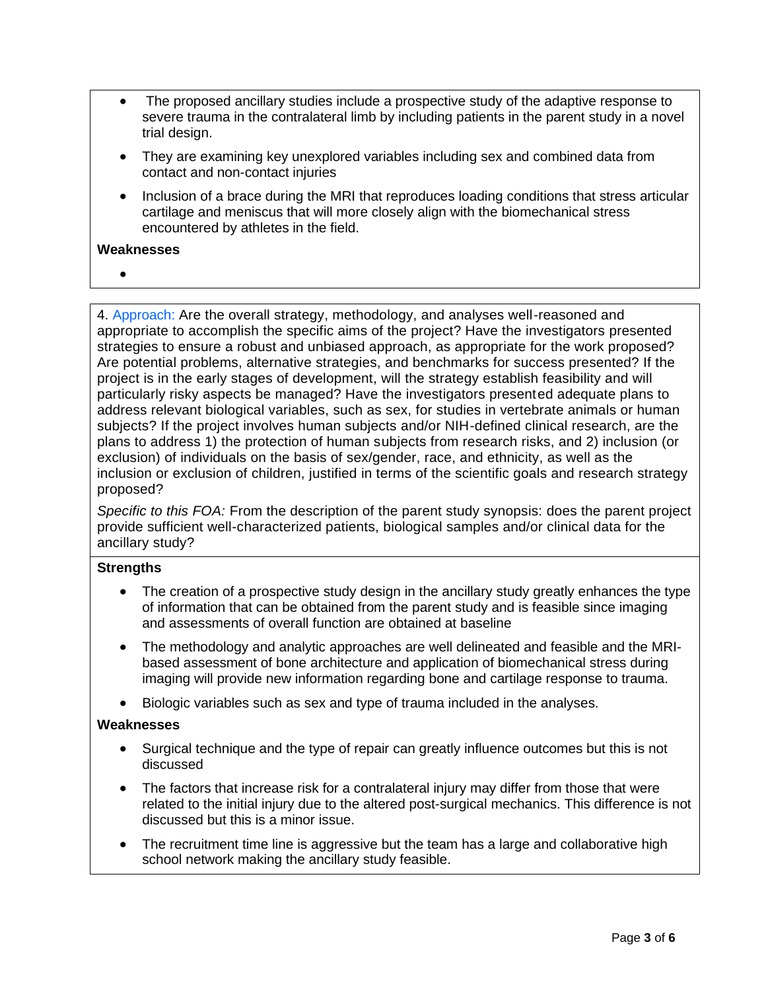- The proposed ancillary studies include a prospective study of the adaptive response to severe trauma in the contralateral limb by including patients in the parent study in a novel trial design.
- They are examining key unexplored variables including sex and combined data from contact and non-contact injuries
- Inclusion of a brace during the MRI that reproduces loading conditions that stress articular cartilage and meniscus that will more closely align with the biomechanical stress encountered by athletes in the field.

#### **Weaknesses**

•

4. Approach: Are the overall strategy, methodology, and analyses well-reasoned and appropriate to accomplish the specific aims of the project? Have the investigators presented strategies to ensure a robust and unbiased approach, as appropriate for the work proposed? Are potential problems, alternative strategies, and benchmarks for success presented? If the project is in the early stages of development, will the strategy establish feasibility and will particularly risky aspects be managed? Have the investigators presented adequate plans to address relevant biological variables, such as sex, for studies in vertebrate animals or human subjects? If the project involves human subjects and/or NIH-defined clinical research, are the plans to address 1) the protection of human subjects from research risks, and 2) inclusion (or exclusion) of individuals on the basis of sex/gender, race, and ethnicity, as well as the inclusion or exclusion of children, justified in terms of the scientific goals and research strategy proposed?

*Specific to this FOA:* From the description of the parent study synopsis: does the parent project provide sufficient well-characterized patients, biological samples and/or clinical data for the ancillary study?

## **Strengths**

- The creation of a prospective study design in the ancillary study greatly enhances the type of information that can be obtained from the parent study and is feasible since imaging and assessments of overall function are obtained at baseline
- The methodology and analytic approaches are well delineated and feasible and the MRIbased assessment of bone architecture and application of biomechanical stress during imaging will provide new information regarding bone and cartilage response to trauma.
- Biologic variables such as sex and type of trauma included in the analyses.

#### **Weaknesses**

- Surgical technique and the type of repair can greatly influence outcomes but this is not discussed
- The factors that increase risk for a contralateral injury may differ from those that were related to the initial injury due to the altered post-surgical mechanics. This difference is not discussed but this is a minor issue.
- The recruitment time line is aggressive but the team has a large and collaborative high school network making the ancillary study feasible.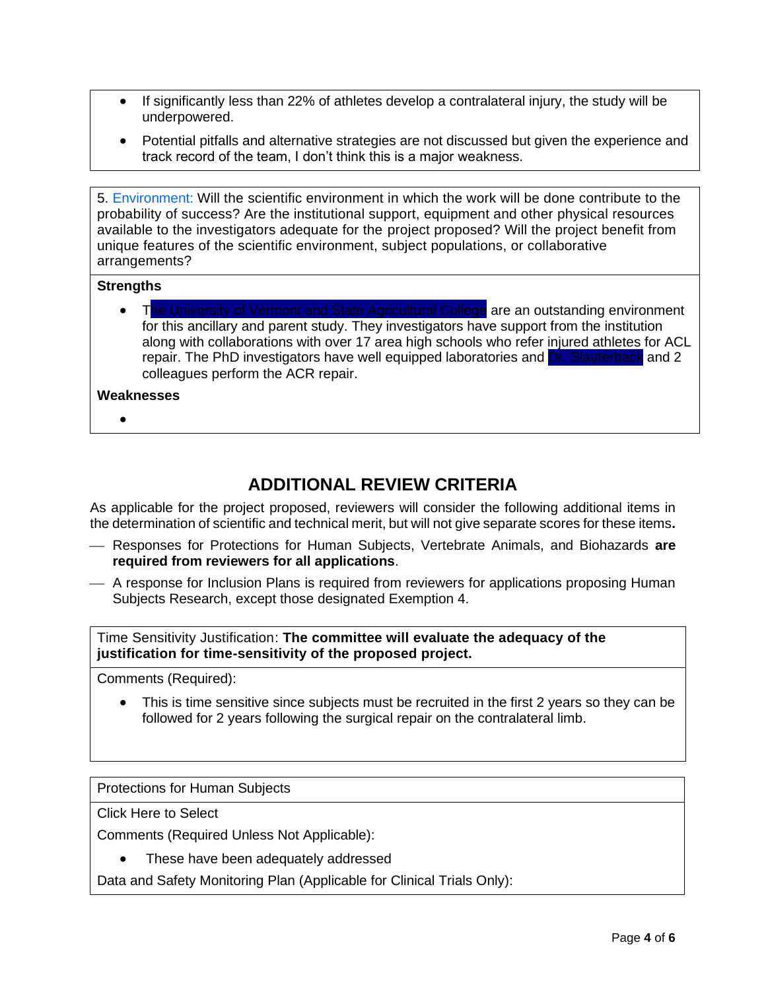- If significantly less than 22% of athletes develop a contralateral injury, the study will be underpowered.
- Potential pitfalls and alternative strategies are not discussed but given the experience and track record of the team, I don't think this is a major weakness.

5. Environment: Will the scientific environment in which the work will be done contribute to the probability of success? Are the institutional support, equipment and other physical resources available to the investigators adequate for the project proposed? Will the project benefit from unique features of the scientific environment, subject populations, or collaborative arrangements?

#### **Strengths**

• The University of Vermont and State Agricultural College are an outstanding environment for this ancillary and parent study. They investigators have support from the institution along with collaborations with over 17 area high schools who refer injured athletes for ACL repair. The PhD investigators have well equipped laboratories and Dr. Slauterback and 2 colleagues perform the ACR repair.

#### **Weaknesses**

•

## **ADDITIONAL REVIEW CRITERIA**

As applicable for the project proposed, reviewers will consider the following additional items in the determination of scientific and technical merit, but will not give separate scores for these items**.** 

- ⎯ Responses for Protections for Human Subjects, Vertebrate Animals, and Biohazards **are required from reviewers for all applications**.
- $-$  A response for Inclusion Plans is required from reviewers for applications proposing Human Subjects Research, except those designated Exemption 4.

Time Sensitivity Justification: **The committee will evaluate the adequacy of the justification for time-sensitivity of the proposed project.**

Comments (Required):

This is time sensitive since subjects must be recruited in the first 2 years so they can be followed for 2 years following the surgical repair on the contralateral limb.

Protections for Human Subjects

Click Here to Select

Comments (Required Unless Not Applicable):

• These have been adequately addressed

Data and Safety Monitoring Plan (Applicable for Clinical Trials Only):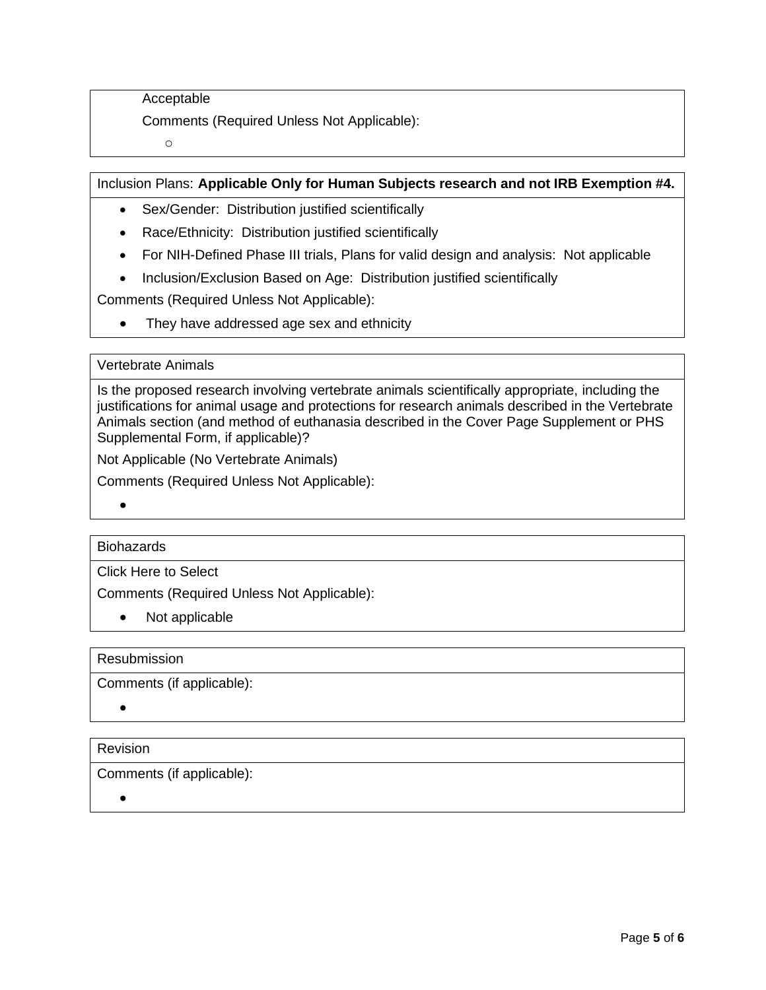Acceptable

Comments (Required Unless Not Applicable):

o

## Inclusion Plans: **Applicable Only for Human Subjects research and not IRB Exemption #4.**

- Sex/Gender: Distribution justified scientifically
- Race/Ethnicity: Distribution justified scientifically
- For NIH-Defined Phase III trials, Plans for valid design and analysis: Not applicable
- Inclusion/Exclusion Based on Age: Distribution justified scientifically

Comments (Required Unless Not Applicable):

• They have addressed age sex and ethnicity

## Vertebrate Animals

Is the proposed research involving vertebrate animals scientifically appropriate, including the justifications for animal usage and protections for research animals described in the Vertebrate Animals section (and method of euthanasia described in the Cover Page Supplement or PHS Supplemental Form, if applicable)?

Not Applicable (No Vertebrate Animals)

Comments (Required Unless Not Applicable):

•

## **Biohazards**

Click Here to Select

Comments (Required Unless Not Applicable):

• Not applicable

Resubmission

Comments (if applicable):

•

## **Revision**

Comments (if applicable):

•